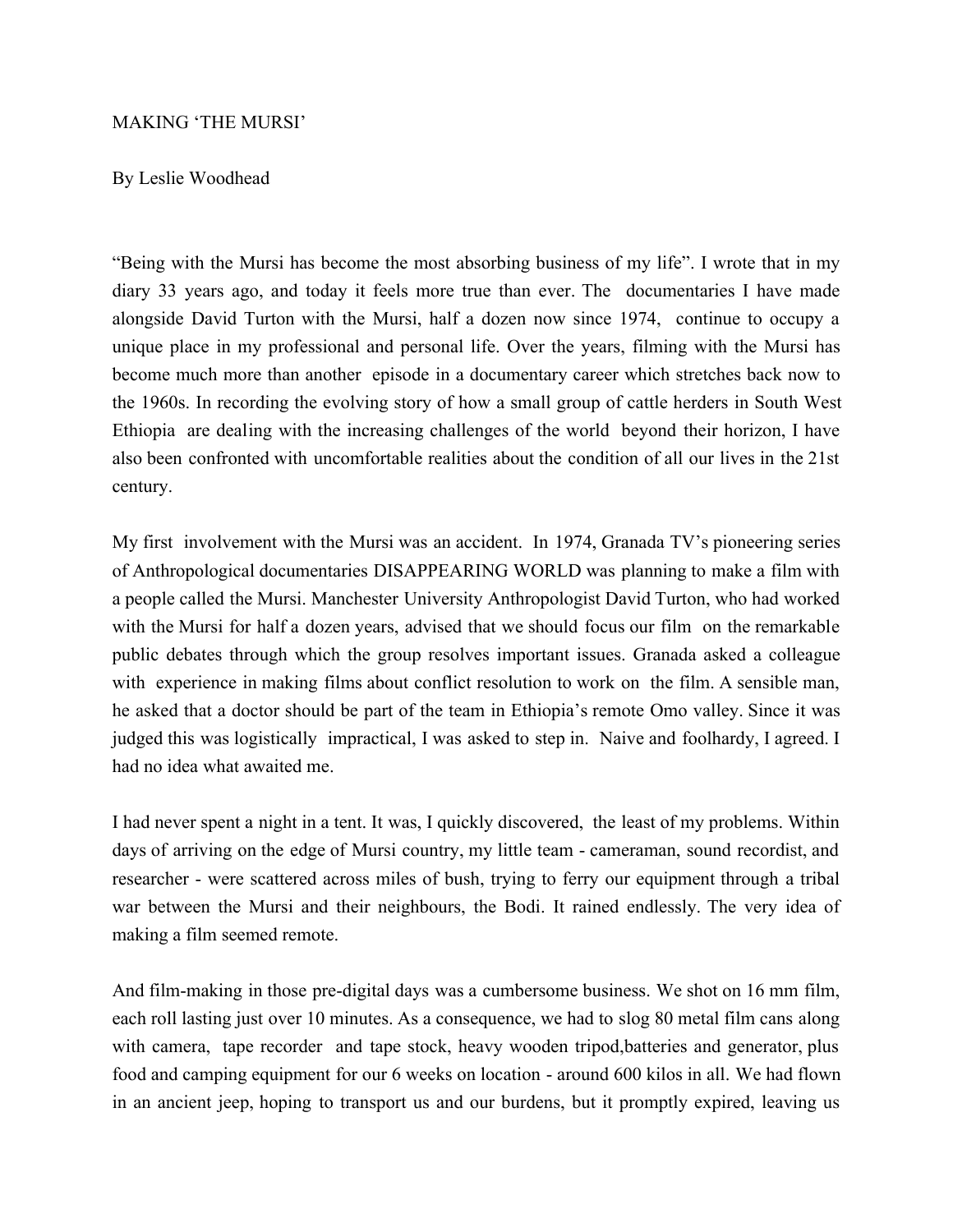## MAKING 'THE MURSI'

## By Leslie Woodhead

"Being with the Mursi has become the most absorbing business of my life". I wrote that in my diary 33 years ago, and today it feels more true than ever. The documentaries I have made alongside David Turton with the Mursi, half a dozen now since 1974, continue to occupy a unique place in my professional and personal life. Over the years, filming with the Mursi has become much more than another episode in a documentary career which stretches back now to the 1960s. In recording the evolving story of how a small group of cattle herders in South West Ethiopia are dealing with the increasing challenges of the world beyond their horizon, I have also been confronted with uncomfortable realities about the condition of all our lives in the 21st century.

My first involvement with the Mursi was an accident. In 1974, Granada TV's pioneering series of Anthropological documentaries DISAPPEARING WORLD was planning to make a film with a people called the Mursi. Manchester University Anthropologist David Turton, who had worked with the Mursi for half a dozen years, advised that we should focus our film on the remarkable public debates through which the group resolves important issues. Granada asked a colleague with experience in making films about conflict resolution to work on the film. A sensible man, he asked that a doctor should be part of the team in Ethiopia's remote Omo valley. Since it was judged this was logistically impractical, I was asked to step in. Naive and foolhardy, I agreed. I had no idea what awaited me.

I had never spent a night in a tent. It was, I quickly discovered, the least of my problems. Within days of arriving on the edge of Mursi country, my little team - cameraman, sound recordist, and researcher - were scattered across miles of bush, trying to ferry our equipment through a tribal war between the Mursi and their neighbours, the Bodi. It rained endlessly. The very idea of making a film seemed remote.

And film-making in those pre-digital days was a cumbersome business. We shot on 16 mm film, each roll lasting just over 10 minutes. As a consequence, we had to slog 80 metal film cans along with camera, tape recorder and tape stock, heavy wooden tripod,batteries and generator, plus food and camping equipment for our 6 weeks on location - around 600 kilos in all. We had flown in an ancient jeep, hoping to transport us and our burdens, but it promptly expired, leaving us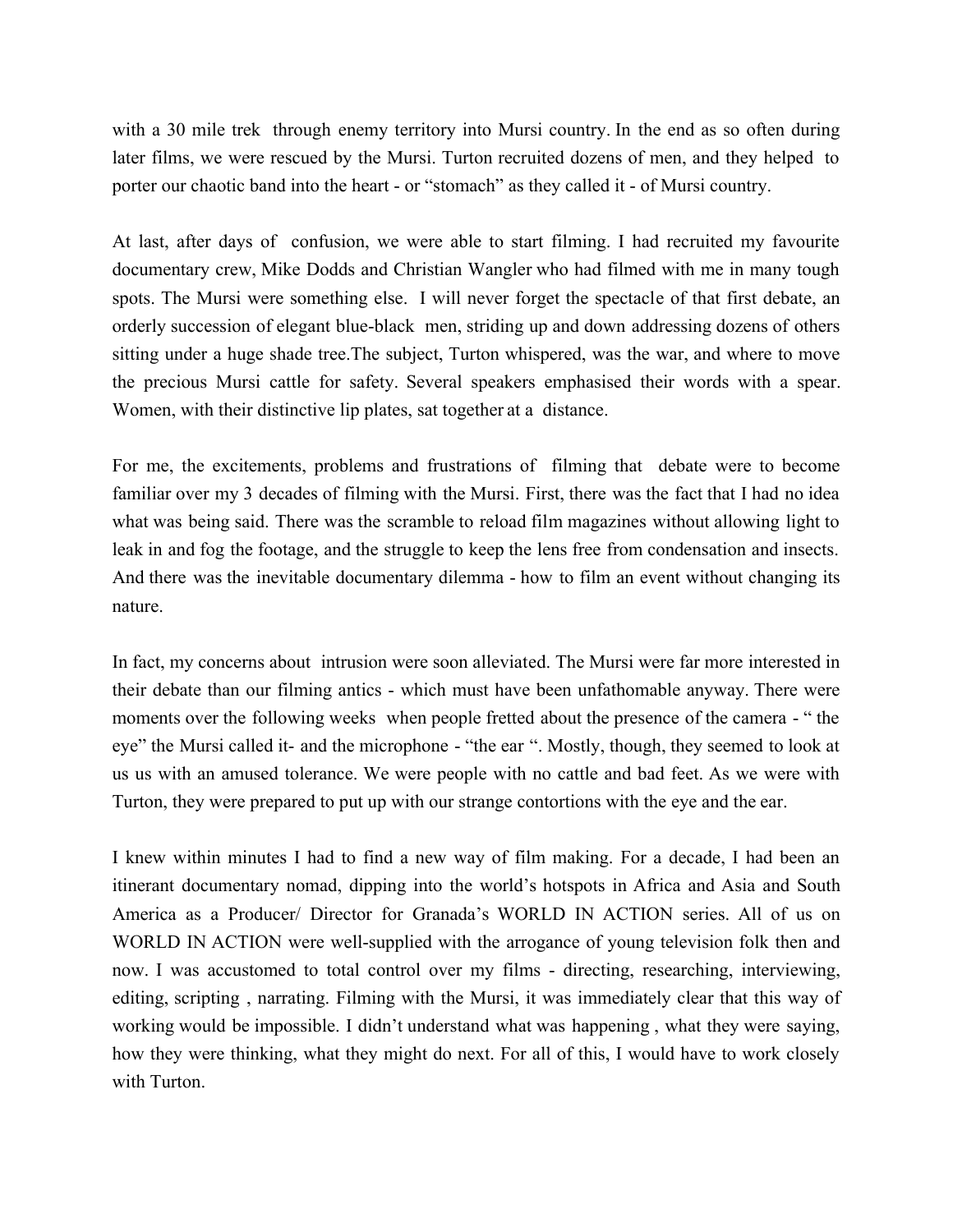with a 30 mile trek through enemy territory into Mursi country. In the end as so often during later films, we were rescued by the Mursi. Turton recruited dozens of men, and they helped to porter our chaotic band into the heart - or "stomach" as they called it - of Mursi country.

At last, after days of confusion, we were able to start filming. I had recruited my favourite documentary crew, Mike Dodds and Christian Wangler who had filmed with me in many tough spots. The Mursi were something else. I will never forget the spectacle of that first debate, an orderly succession of elegant blue-black men, striding up and down addressing dozens of others sitting under a huge shade tree.The subject, Turton whispered, was the war, and where to move the precious Mursi cattle for safety. Several speakers emphasised their words with a spear. Women, with their distinctive lip plates, sat together at a distance.

For me, the excitements, problems and frustrations of filming that debate were to become familiar over my 3 decades of filming with the Mursi. First, there was the fact that I had no idea what was being said. There was the scramble to reload film magazines without allowing light to leak in and fog the footage, and the struggle to keep the lens free from condensation and insects. And there was the inevitable documentary dilemma - how to film an event without changing its nature.

In fact, my concerns about intrusion were soon alleviated. The Mursi were far more interested in their debate than our filming antics - which must have been unfathomable anyway. There were moments over the following weeks when people fretted about the presence of the camera - " the eye" the Mursi called it- and the microphone - "the ear ". Mostly, though, they seemed to look at us us with an amused tolerance. We were people with no cattle and bad feet. As we were with Turton, they were prepared to put up with our strange contortions with the eye and the ear.

I knew within minutes I had to find a new way of film making. For a decade, I had been an itinerant documentary nomad, dipping into the world's hotspots in Africa and Asia and South America as a Producer/ Director for Granada's WORLD IN ACTION series. All of us on WORLD IN ACTION were well-supplied with the arrogance of young television folk then and now. I was accustomed to total control over my films - directing, researching, interviewing, editing, scripting , narrating. Filming with the Mursi, it was immediately clear that this way of working would be impossible. I didn't understand what was happening , what they were saying, how they were thinking, what they might do next. For all of this, I would have to work closely with Turton.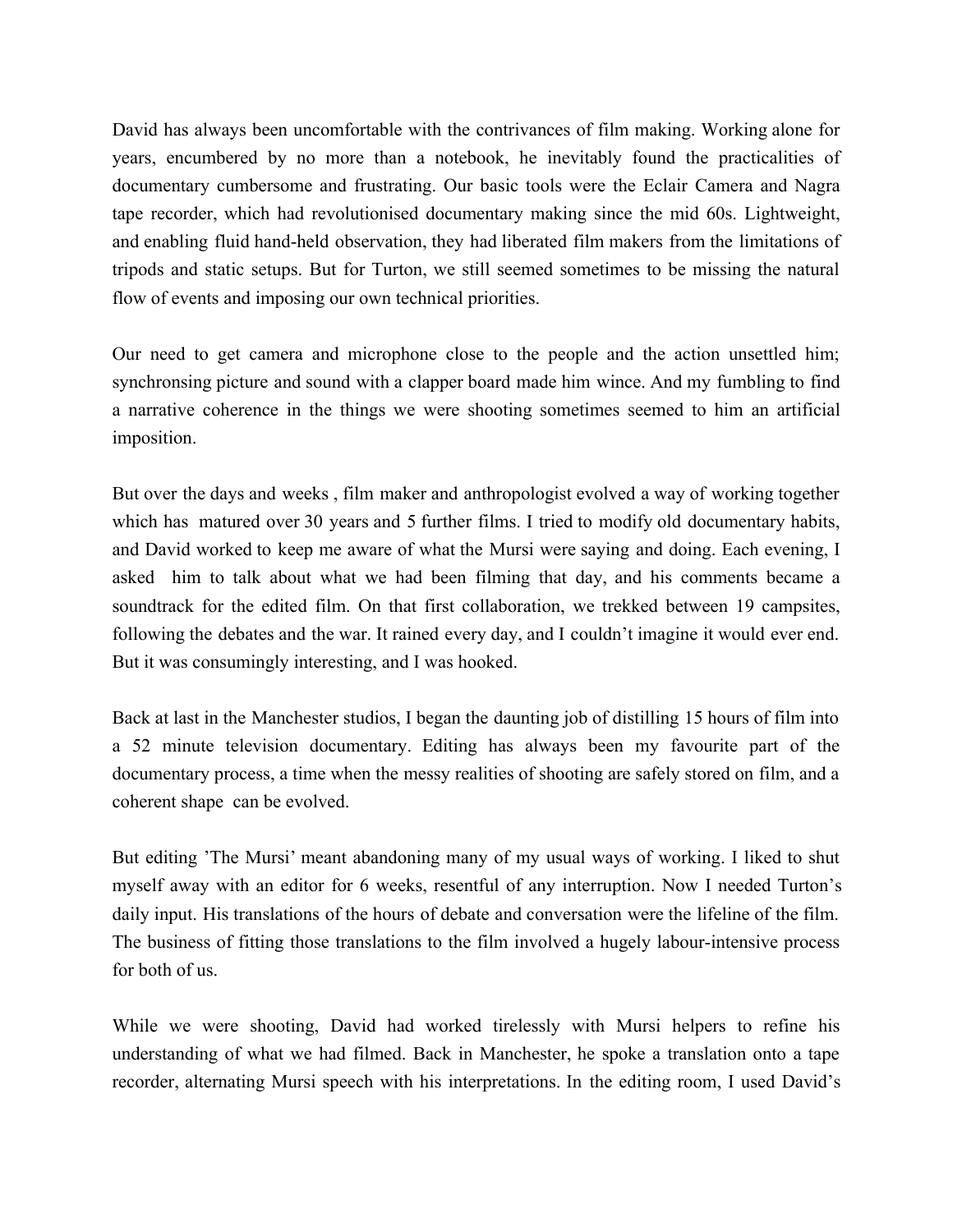David has always been uncomfortable with the contrivances of film making. Working alone for years, encumbered by no more than a notebook, he inevitably found the practicalities of documentary cumbersome and frustrating. Our basic tools were the Eclair Camera and Nagra tape recorder, which had revolutionised documentary making since the mid 60s. Lightweight, and enabling fluid hand-held observation, they had liberated film makers from the limitations of tripods and static setups. But for Turton, we still seemed sometimes to be missing the natural flow of events and imposing our own technical priorities.

Our need to get camera and microphone close to the people and the action unsettled him; synchronsing picture and sound with a clapper board made him wince. And my fumbling to find a narrative coherence in the things we were shooting sometimes seemed to him an artificial imposition.

But over the days and weeks , film maker and anthropologist evolved a way of working together which has matured over 30 years and 5 further films. I tried to modify old documentary habits, and David worked to keep me aware of what the Mursi were saying and doing. Each evening, I asked him to talk about what we had been filming that day, and his comments became a soundtrack for the edited film. On that first collaboration, we trekked between 19 campsites, following the debates and the war. It rained every day, and I couldn't imagine it would ever end. But it was consumingly interesting, and I was hooked.

Back at last in the Manchester studios, I began the daunting job of distilling 15 hours of film into a 52 minute television documentary. Editing has always been my favourite part of the documentary process, a time when the messy realities of shooting are safely stored on film, and a coherent shape can be evolved.

But editing 'The Mursi' meant abandoning many of my usual ways of working. I liked to shut myself away with an editor for 6 weeks, resentful of any interruption. Now I needed Turton's daily input. His translations of the hours of debate and conversation were the lifeline of the film. The business of fitting those translations to the film involved a hugely labour-intensive process for both of us.

While we were shooting, David had worked tirelessly with Mursi helpers to refine his understanding of what we had filmed. Back in Manchester, he spoke a translation onto a tape recorder, alternating Mursi speech with his interpretations. In the editing room, I used David's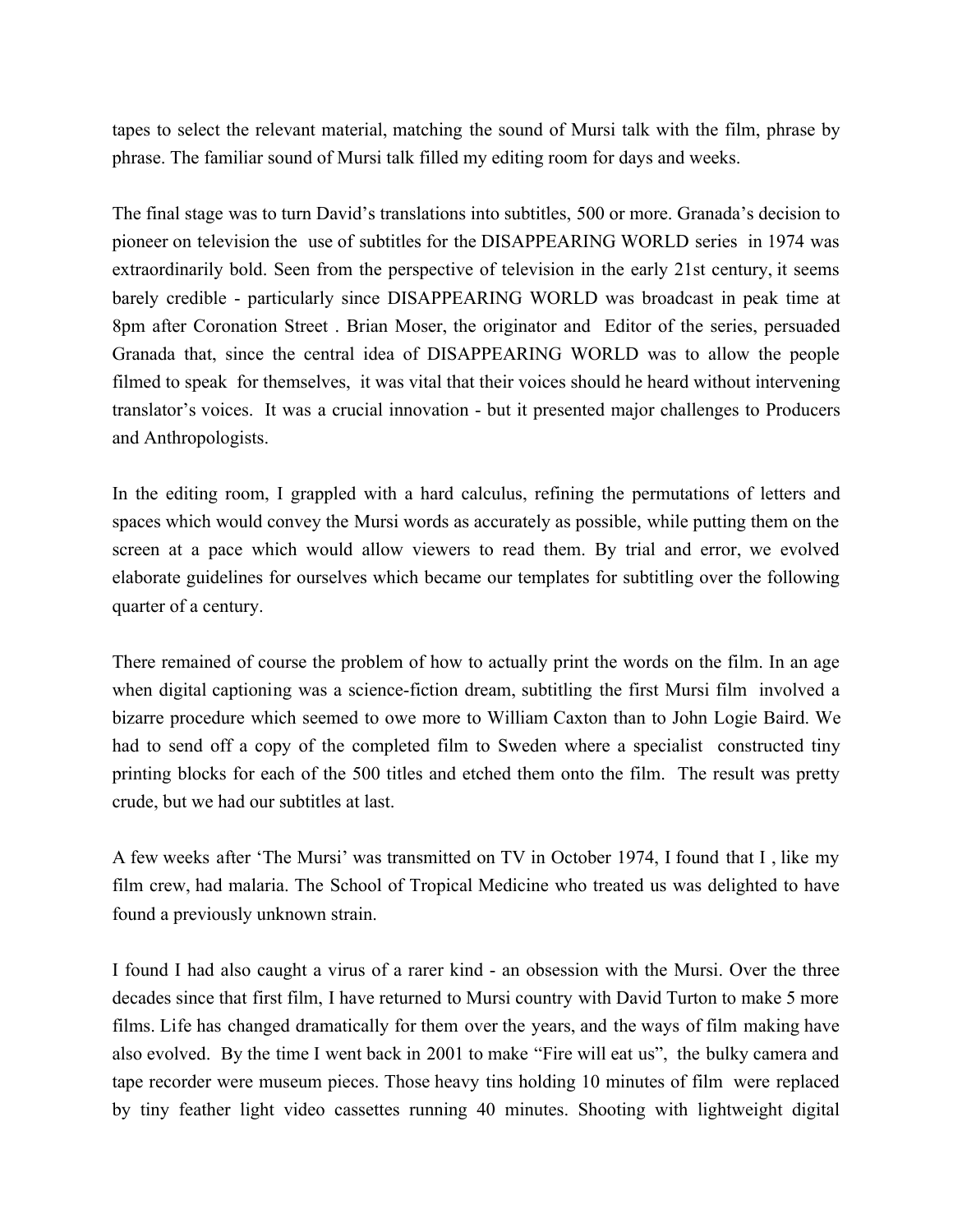tapes to select the relevant material, matching the sound of Mursi talk with the film, phrase by phrase. The familiar sound of Mursi talk filled my editing room for days and weeks.

The final stage was to turn David's translations into subtitles, 500 or more. Granada's decision to pioneer on television the use of subtitles for the DISAPPEARING WORLD series in 1974 was extraordinarily bold. Seen from the perspective of television in the early 21st century, it seems barely credible - particularly since DISAPPEARING WORLD was broadcast in peak time at 8pm after Coronation Street . Brian Moser, the originator and Editor of the series, persuaded Granada that, since the central idea of DISAPPEARING WORLD was to allow the people filmed to speak for themselves, it was vital that their voices should he heard without intervening translator's voices. It was a crucial innovation - but it presented major challenges to Producers and Anthropologists.

In the editing room, I grappled with a hard calculus, refining the permutations of letters and spaces which would convey the Mursi words as accurately as possible, while putting them on the screen at a pace which would allow viewers to read them. By trial and error, we evolved elaborate guidelines for ourselves which became our templates for subtitling over the following quarter of a century.

There remained of course the problem of how to actually print the words on the film. In an age when digital captioning was a science-fiction dream, subtitling the first Mursi film involved a bizarre procedure which seemed to owe more to William Caxton than to John Logie Baird. We had to send off a copy of the completed film to Sweden where a specialist constructed tiny printing blocks for each of the 500 titles and etched them onto the film. The result was pretty crude, but we had our subtitles at last.

A few weeks after 'The Mursi' was transmitted on TV in October 1974, I found that I , like my film crew, had malaria. The School of Tropical Medicine who treated us was delighted to have found a previously unknown strain.

I found I had also caught a virus of a rarer kind - an obsession with the Mursi. Over the three decades since that first film, I have returned to Mursi country with David Turton to make 5 more films. Life has changed dramatically for them over the years, and the ways of film making have also evolved. By the time I went back in 2001 to make "Fire will eat us", the bulky camera and tape recorder were museum pieces. Those heavy tins holding 10 minutes of film were replaced by tiny feather light video cassettes running 40 minutes. Shooting with lightweight digital